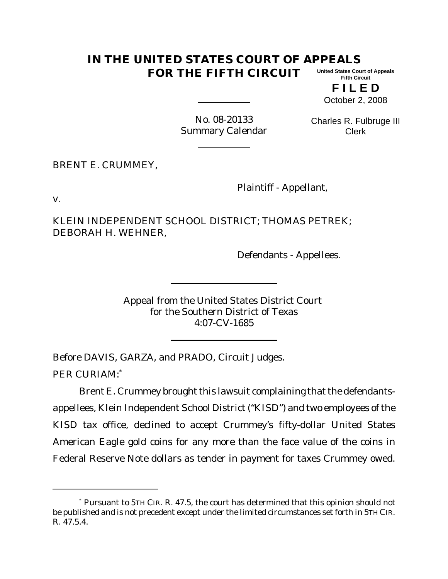## **IN THE UNITED STATES COURT OF APPEALS FOR THE FIFTH CIRCUIT United States Court of Appeals Fifth Circuit**

**F I L E D** October 2, 2008

No. 08-20133 Summary Calendar

Charles R. Fulbruge III Clerk

BRENT E. CRUMMEY,

Plaintiff - Appellant,

v.

KLEIN INDEPENDENT SCHOOL DISTRICT; THOMAS PETREK; DEBORAH H. WEHNER,

Defendants - Appellees.

Appeal from the United States District Court for the Southern District of Texas 4:07-CV-1685

Before DAVIS, GARZA, and PRADO, Circuit Judges.

PER CURIAM:\*

Brent E. Crummey brought this lawsuit complaining that the defendantsappellees, Klein Independent School District ("KISD") and two employees of the KISD tax office, declined to accept Crummey's fifty-dollar United States American Eagle gold coins for any more than the face value of the coins in Federal Reserve Note dollars as tender in payment for taxes Crummey owed.

<sup>\*</sup> Pursuant to 5TH CIR. R. 47.5, the court has determined that this opinion should not be published and is not precedent except under the limited circumstances set forth in 5TH CIR. R. 47.5.4.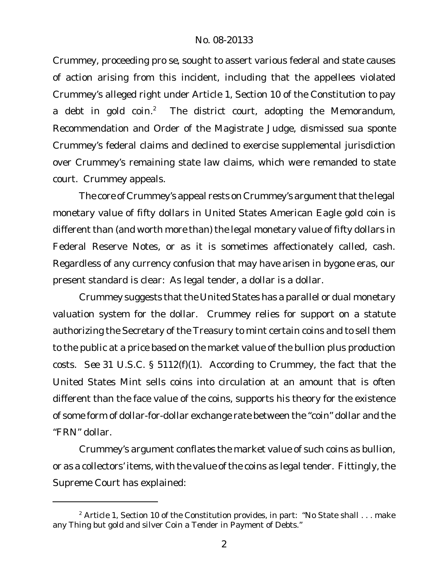Crummey, proceeding *pro se*, sought to assert various federal and state causes of action arising from this incident, including that the appellees violated Crummey's alleged right under Article 1, Section 10 of the Constitution to pay a debt in gold coin.<sup>2</sup> The district court, adopting the Memorandum, Recommendation and Order of the Magistrate Judge, dismissed *sua sponte* Crummey's federal claims and declined to exercise supplemental jurisdiction over Crummey's remaining state law claims, which were remanded to state court. Crummey appeals.

The core of Crummey's appeal rests on Crummey's argument that the legal monetary value of fifty dollars in United States American Eagle gold coin is different than (and worth more than) the legal monetary value of fifty dollars in Federal Reserve Notes, or as it is sometimes affectionately called, cash. Regardless of any currency confusion that may have arisen in bygone eras, our present standard is clear: As legal tender, a dollar is a dollar.

Crummey suggests that the United States has a parallel or dual monetary valuation system for the dollar. Crummey relies for support on a statute authorizing the Secretary of the Treasury to mint certain coins and to sell them to the public at a price based on the market value of the bullion plus production costs. *See* 31 U.S.C. § 5112(f)(1). According to Crummey, the fact that the United States Mint sells coins into circulation at an amount that is often different than the face value of the coins, supports his theory for the existence of some form of dollar-for-dollar exchange rate between the "coin" dollar and the "FRN" dollar.

Crummey's argument conflates the market value of such coins as bullion, or as a collectors' items, with the value of the coins as legal tender. Fittingly, the Supreme Court has explained:

 $2$  Article 1, Section 10 of the Constitution provides, in part: "No State shall  $\ldots$  make any Thing but gold and silver Coin a Tender in Payment of Debts."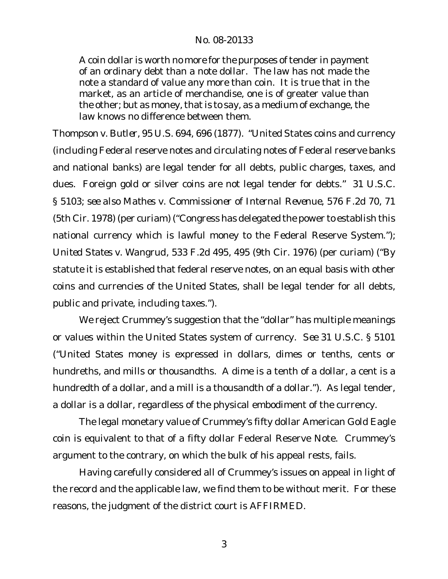## No. 08-20133

A coin dollar is worth no more for the purposes of tender in payment of an ordinary debt than a note dollar. The law has not made the note a standard of value any more than coin. It is true that in the market, as an article of merchandise, one is of greater value than the other; but as money, that is to say, as a medium of exchange, the law knows no difference between them.

*Thompson v. Butler*, 95 U.S. 694, 696 (1877). "United States coins and currency (including Federal reserve notes and circulating notes of Federal reserve banks and national banks) are legal tender for all debts, public charges, taxes, and dues. Foreign gold or silver coins are not legal tender for debts." 31 U.S.C. § 5103; *see also Mathes v. Commissioner of Internal Revenue*, 576 F.2d 70, 71 (5th Cir. 1978) (per curiam) ("Congress has delegated the power to establish this national currency which is lawful money to the Federal Reserve System."); *United States v. Wangrud*, 533 F.2d 495, 495 (9th Cir. 1976) (per curiam) ("By statute it is established that federal reserve notes, on an equal basis with other coins and currencies of the United States, shall be legal tender for all debts, public and private, including taxes.").

We reject Crummey's suggestion that the "dollar" has multiple meanings or values within the United States system of currency. *See* 31 U.S.C. § 5101 ("United States money is expressed in dollars, dimes or tenths, cents or hundreths, and mills or thousandths. A dime is a tenth of a dollar, a cent is a hundredth of a dollar, and a mill is a thousandth of a dollar."). As legal tender, a dollar is a dollar, regardless of the physical embodiment of the currency.

The legal monetary value of Crummey's fifty dollar American Gold Eagle coin is equivalent to that of a fifty dollar Federal Reserve Note. Crummey's argument to the contrary, on which the bulk of his appeal rests, fails.

Having carefully considered all of Crummey's issues on appeal in light of the record and the applicable law, we find them to be without merit. For these reasons, the judgment of the district court is AFFIRMED.